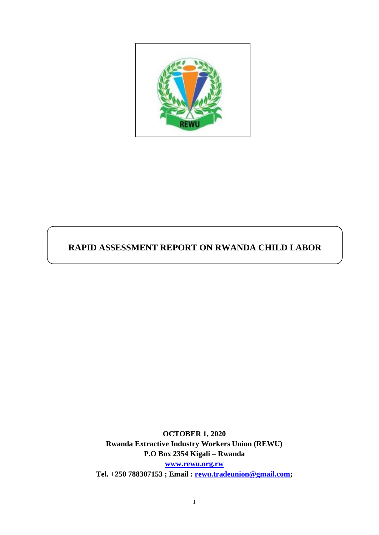

# **RAPID ASSESSMENT REPORT ON RWANDA CHILD LABOR**

**OCTOBER 1, 2020 Rwanda Extractive Industry Workers Union (REWU) P.O Box 2354 Kigali – Rwanda [www.rewu.org.rw](http://www.rewu.org.rw/)**

**Tel. +250 788307153 ; Email : [rewu.tradeunion@gmail.com;](mailto:rewu.tradeunion@gmail.com)**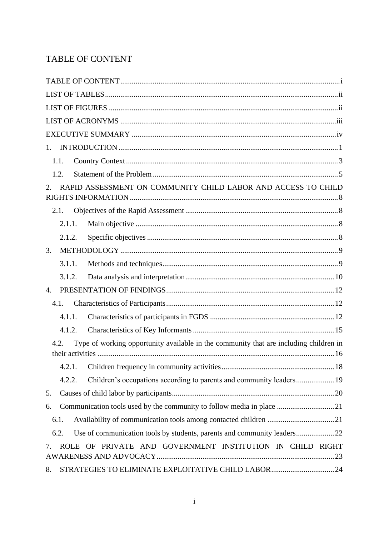## <span id="page-1-0"></span>TABLE OF CONTENT

| $1_{\cdot}$                                                                                   |
|-----------------------------------------------------------------------------------------------|
| 1.1.                                                                                          |
| 1.2.                                                                                          |
| RAPID ASSESSMENT ON COMMUNITY CHILD LABOR AND ACCESS TO CHILD<br>2.                           |
| 2.1.                                                                                          |
| 2.1.1.                                                                                        |
| 2.1.2.                                                                                        |
| 3.                                                                                            |
| 3.1.1.                                                                                        |
| 3.1.2.                                                                                        |
| 4.                                                                                            |
| 4.1.                                                                                          |
| 4.1.1.                                                                                        |
| 4.1.2.                                                                                        |
| Type of working opportunity available in the community that are including children in<br>4.2. |
| 4.2.1.                                                                                        |
| 4.2.2.                                                                                        |
| 5.                                                                                            |
| Communication tools used by the community to follow media in place 21<br>6.                   |
| 6.1.                                                                                          |
| 6.2.                                                                                          |
| PRIVATE AND GOVERNMENT INSTITUTION IN CHILD RIGHT<br>ROLE OF<br>7.                            |
| STRATEGIES TO ELIMINATE EXPLOITATIVE CHILD LABOR 24<br>8.                                     |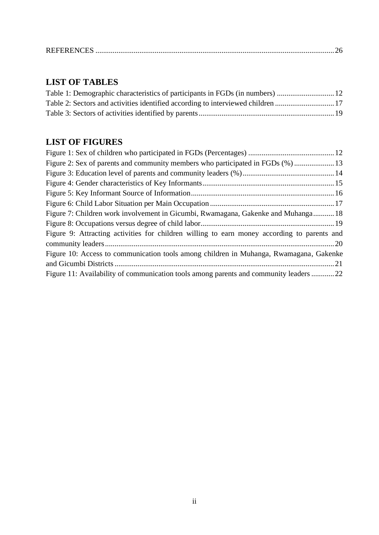|--|--|--|

# <span id="page-2-0"></span>**LIST OF TABLES**

| Table 2: Sectors and activities identified according to interviewed children 17 |  |
|---------------------------------------------------------------------------------|--|
|                                                                                 |  |
|                                                                                 |  |

## <span id="page-2-1"></span>**LIST OF FIGURES**

| Figure 2: Sex of parents and community members who participated in FGDs (%) 13              |  |
|---------------------------------------------------------------------------------------------|--|
|                                                                                             |  |
|                                                                                             |  |
|                                                                                             |  |
|                                                                                             |  |
| Figure 7: Children work involvement in Gicumbi, Rwamagana, Gakenke and Muhanga 18           |  |
|                                                                                             |  |
| Figure 9: Attracting activities for children willing to earn money according to parents and |  |
|                                                                                             |  |
| Figure 10: Access to communication tools among children in Muhanga, Rwamagana, Gakenke      |  |
|                                                                                             |  |
| Figure 11: Availability of communication tools among parents and community leaders 22       |  |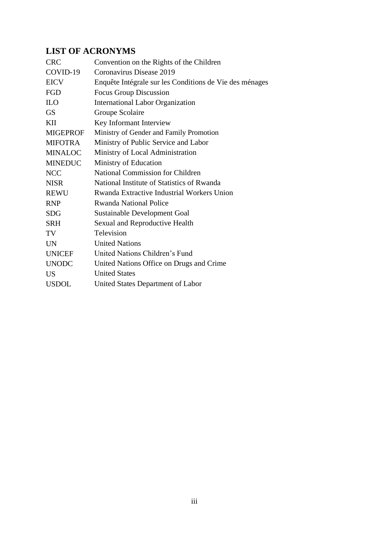# <span id="page-3-0"></span>**LIST OF ACRONYMS**

| <b>CRC</b>      | Convention on the Rights of the Children                |
|-----------------|---------------------------------------------------------|
| COVID-19        | Coronavirus Disease 2019                                |
| <b>EICV</b>     | Enquête Intégrale sur les Conditions de Vie des ménages |
| FGD             | Focus Group Discussion                                  |
| <b>ILO</b>      | <b>International Labor Organization</b>                 |
| <b>GS</b>       | Groupe Scolaire                                         |
| KП              | Key Informant Interview                                 |
| <b>MIGEPROF</b> | Ministry of Gender and Family Promotion                 |
| <b>MIFOTRA</b>  | Ministry of Public Service and Labor                    |
| <b>MINALOC</b>  | Ministry of Local Administration                        |
| <b>MINEDUC</b>  | Ministry of Education                                   |
| <b>NCC</b>      | <b>National Commission for Children</b>                 |
| <b>NISR</b>     | National Institute of Statistics of Rwanda              |
| <b>REWU</b>     | Rwanda Extractive Industrial Workers Union              |
| <b>RNP</b>      | <b>Rwanda National Police</b>                           |
| <b>SDG</b>      | Sustainable Development Goal                            |
| <b>SRH</b>      | Sexual and Reproductive Health                          |
| TV              | Television                                              |
| <b>UN</b>       | <b>United Nations</b>                                   |
| <b>UNICEF</b>   | United Nations Children's Fund                          |
| <b>UNODC</b>    | United Nations Office on Drugs and Crime                |
| <b>US</b>       | <b>United States</b>                                    |
| <b>USDOL</b>    | United States Department of Labor                       |
|                 |                                                         |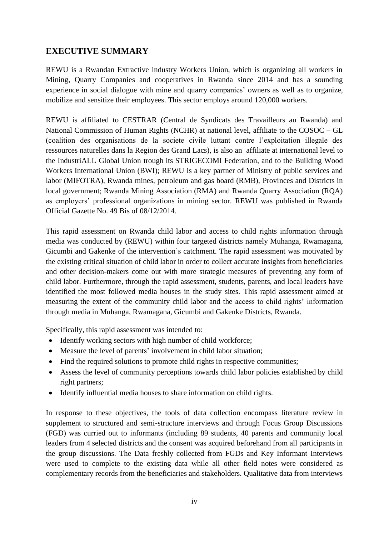## <span id="page-4-0"></span>**EXECUTIVE SUMMARY**

REWU is a Rwandan Extractive industry Workers Union, which is organizing all workers in Mining, Quarry Companies and cooperatives in Rwanda since 2014 and has a sounding experience in social dialogue with mine and quarry companies' owners as well as to organize, mobilize and sensitize their employees. This sector employs around 120,000 workers.

REWU is affiliated to CESTRAR (Central de Syndicats des Travailleurs au Rwanda) and National Commission of Human Rights (NCHR) at national level, affiliate to the COSOC – GL (coalition des organisations de la societe civile luttant contre l'exploitation illegale des ressources naturelles dans la Region des Grand Lacs), is also an affiliate at international level to the IndustriALL Global Union trough its STRIGECOMI Federation, and to the Building Wood Workers International Union (BWI); REWU is a key partner of Ministry of public services and labor (MIFOTRA), Rwanda mines, petroleum and gas board (RMB), Provinces and Districts in local government; Rwanda Mining Association (RMA) and Rwanda Quarry Association (RQA) as employers' professional organizations in mining sector. REWU was published in Rwanda Official Gazette No. 49 Bis of 08/12/2014.

This rapid assessment on Rwanda child labor and access to child rights information through media was conducted by (REWU) within four targeted districts namely Muhanga, Rwamagana, Gicumbi and Gakenke of the intervention's catchment. The rapid assessment was motivated by the existing critical situation of child labor in order to collect accurate insights from beneficiaries and other decision-makers come out with more strategic measures of preventing any form of child labor. Furthermore, through the rapid assessment, students, parents, and local leaders have identified the most followed media houses in the study sites. This rapid assessment aimed at measuring the extent of the community child labor and the access to child rights' information through media in Muhanga, Rwamagana, Gicumbi and Gakenke Districts, Rwanda.

Specifically, this rapid assessment was intended to:

- Identify working sectors with high number of child workforce;
- Measure the level of parents' involvement in child labor situation;
- Find the required solutions to promote child rights in respective communities;
- Assess the level of community perceptions towards child labor policies established by child right partners;
- Identify influential media houses to share information on child rights.

In response to these objectives, the tools of data collection encompass literature review in supplement to structured and semi-structure interviews and through Focus Group Discussions (FGD) was curried out to informants (including 89 students, 40 parents and community local leaders from 4 selected districts and the consent was acquired beforehand from all participants in the group discussions. The Data freshly collected from FGDs and Key Informant Interviews were used to complete to the existing data while all other field notes were considered as complementary records from the beneficiaries and stakeholders. Qualitative data from interviews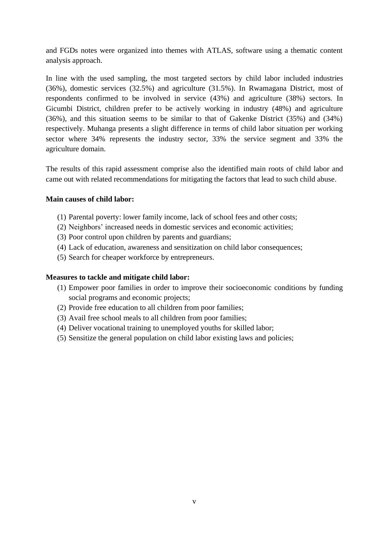and FGDs notes were organized into themes with ATLAS, software using a thematic content analysis approach.

In line with the used sampling, the most targeted sectors by child labor included industries (36%), domestic services (32.5%) and agriculture (31.5%). In Rwamagana District, most of respondents confirmed to be involved in service (43%) and agriculture (38%) sectors. In Gicumbi District, children prefer to be actively working in industry (48%) and agriculture (36%), and this situation seems to be similar to that of Gakenke District (35%) and (34%) respectively. Muhanga presents a slight difference in terms of child labor situation per working sector where 34% represents the industry sector, 33% the service segment and 33% the agriculture domain.

The results of this rapid assessment comprise also the identified main roots of child labor and came out with related recommendations for mitigating the factors that lead to such child abuse.

### **Main causes of child labor:**

- (1) Parental poverty: lower family income, lack of school fees and other costs;
- (2) Neighbors' increased needs in domestic services and economic activities;
- (3) Poor control upon children by parents and guardians;
- (4) Lack of education, awareness and sensitization on child labor consequences;
- (5) Search for cheaper workforce by entrepreneurs.

#### **Measures to tackle and mitigate child labor:**

- (1) Empower poor families in order to improve their socioeconomic conditions by funding social programs and economic projects;
- (2) Provide free education to all children from poor families;
- (3) Avail free school meals to all children from poor families;
- (4) Deliver vocational training to unemployed youths for skilled labor;
- (5) Sensitize the general population on child labor existing laws and policies;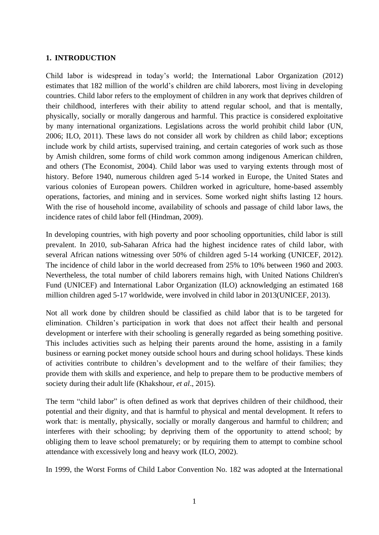### <span id="page-6-0"></span>**1. INTRODUCTION**

Child labor is widespread in today's world; the International Labor Organization (2012) estimates that 182 million of the world's children are child laborers, most living in developing countries. Child labor refers to the employment of children in any work that deprives children of their childhood, interferes with their ability to attend regular school, and that is mentally, physically, socially or morally dangerous and harmful. This practice is considered exploitative by many international organizations. Legislations across the world prohibit child labor (UN, 2006; ILO, 2011). These laws do not consider all work by children as child labor; exceptions include work by child artists, supervised training, and certain categories of work such as those by Amish children, some forms of child work common among indigenous American children, and others (The Economist, 2004). Child labor was used to varying extents through most of history. Before 1940, numerous children aged 5-14 worked in Europe, the United States and various colonies of European powers. Children worked in agriculture, home-based assembly operations, factories, and mining and in services. Some worked night shifts lasting 12 hours. With the rise of household income, availability of schools and passage of child labor laws, the incidence rates of child labor fell (Hindman, 2009).

In developing countries, with high poverty and poor schooling opportunities, child labor is still prevalent. In 2010, sub-Saharan Africa had the highest incidence rates of child labor, with several African nations witnessing over 50% of children aged 5-14 working (UNICEF, 2012). The incidence of child labor in the world decreased from 25% to 10% between 1960 and 2003. Nevertheless, the total number of child laborers remains high, with United Nations Children's Fund (UNICEF) and International Labor Organization (ILO) acknowledging an estimated 168 million children aged 5-17 worldwide, were involved in child labor in 2013(UNICEF, 2013).

Not all work done by children should be classified as child labor that is to be targeted for elimination. Children's participation in work that does not affect their health and personal development or interfere with their schooling is generally regarded as being something positive. This includes activities such as helping their parents around the home, assisting in a family business or earning pocket money outside school hours and during school holidays. These kinds of activities contribute to children's development and to the welfare of their families; they provide them with skills and experience, and help to prepare them to be productive members of society during their adult life (Khakshour, *et al*., 2015).

The term "child labor" is often defined as work that deprives children of their childhood, their potential and their dignity, and that is harmful to physical and mental development. It refers to work that: is mentally, physically, socially or morally dangerous and harmful to children; and interferes with their schooling; by depriving them of the opportunity to attend school; by obliging them to leave school prematurely; or by requiring them to attempt to combine school attendance with excessively long and heavy work (ILO, 2002).

In 1999, the Worst Forms of Child Labor Convention No. 182 was adopted at the International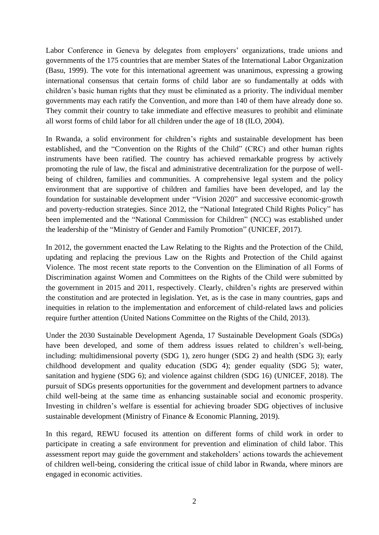Labor Conference in Geneva by delegates from employers' organizations, trade unions and governments of the 175 countries that are member States of the International Labor Organization (Basu, 1999). The vote for this international agreement was unanimous, expressing a growing international consensus that certain forms of child labor are so fundamentally at odds with children's basic human rights that they must be eliminated as a priority. The individual member governments may each ratify the Convention, and more than 140 of them have already done so. They commit their country to take immediate and effective measures to prohibit and eliminate all worst forms of child labor for all children under the age of 18 (ILO, 2004).

In Rwanda, a solid environment for children's rights and sustainable development has been established, and the "Convention on the Rights of the Child" (CRC) and other human rights instruments have been ratified. The country has achieved remarkable progress by actively promoting the rule of law, the fiscal and administrative decentralization for the purpose of wellbeing of children, families and communities. A comprehensive legal system and the policy environment that are supportive of children and families have been developed, and lay the foundation for sustainable development under "Vision 2020" and successive economic-growth and poverty-reduction strategies. Since 2012, the "National Integrated Child Rights Policy" has been implemented and the "National Commission for Children" (NCC) was established under the leadership of the "Ministry of Gender and Family Promotion" (UNICEF, 2017).

In 2012, the government enacted the Law Relating to the Rights and the Protection of the Child, updating and replacing the previous Law on the Rights and Protection of the Child against Violence. The most recent state reports to the Convention on the Elimination of all Forms of Discrimination against Women and Committees on the Rights of the Child were submitted by the government in 2015 and 2011, respectively. Clearly, children's rights are preserved within the constitution and are protected in legislation. Yet, as is the case in many countries, gaps and inequities in relation to the implementation and enforcement of child-related laws and policies require further attention (United Nations Committee on the Rights of the Child, 2013).

Under the 2030 Sustainable Development Agenda, 17 Sustainable Development Goals (SDGs) have been developed, and some of them address issues related to children's well-being, including: multidimensional poverty (SDG 1), zero hunger (SDG 2) and health (SDG 3); early childhood development and quality education (SDG 4); gender equality (SDG 5); water, sanitation and hygiene (SDG 6); and violence against children (SDG 16) (UNICEF, 2018). The pursuit of SDGs presents opportunities for the government and development partners to advance child well-being at the same time as enhancing sustainable social and economic prosperity. Investing in children's welfare is essential for achieving broader SDG objectives of inclusive sustainable development (Ministry of Finance & Economic Planning, 2019).

In this regard, REWU focused its attention on different forms of child work in order to participate in creating a safe environment for prevention and elimination of child labor. This assessment report may guide the government and stakeholders' actions towards the achievement of children well-being, considering the critical issue of child labor in Rwanda, where minors are engaged in economic activities.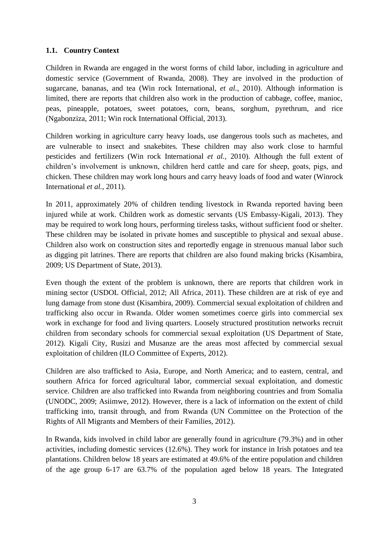### <span id="page-8-0"></span>**1.1. Country Context**

Children in Rwanda are engaged in the worst forms of child labor, including in agriculture and domestic service (Government of Rwanda, 2008). They are involved in the production of sugarcane, bananas, and tea (Win rock International, *et al.*, 2010). Although information is limited, there are reports that children also work in the production of cabbage, coffee, manioc, peas, pineapple, potatoes, sweet potatoes, corn, beans, sorghum, pyrethrum, and rice (Ngabonziza, 2011; Win rock International Official, 2013).

Children working in agriculture carry heavy loads, use dangerous tools such as machetes, and are vulnerable to insect and snakebites. These children may also work close to harmful pesticides and fertilizers (Win rock International *et al.,* 2010). Although the full extent of children's involvement is unknown, children herd cattle and care for sheep, goats, pigs, and chicken. These children may work long hours and carry heavy loads of food and water (Winrock International *et al.,* 2011).

In 2011, approximately 20% of children tending livestock in Rwanda reported having been injured while at work. Children work as domestic servants (US Embassy-Kigali, 2013). They may be required to work long hours, performing tireless tasks, without sufficient food or shelter. These children may be isolated in private homes and susceptible to physical and sexual abuse. Children also work on construction sites and reportedly engage in strenuous manual labor such as digging pit latrines. There are reports that children are also found making bricks (Kisambira, 2009; US Department of State, 2013).

Even though the extent of the problem is unknown, there are reports that children work in mining sector (USDOL Official, 2012; All Africa, 2011). These children are at risk of eye and lung damage from stone dust (Kisambira, 2009). Commercial sexual exploitation of children and trafficking also occur in Rwanda. Older women sometimes coerce girls into commercial sex work in exchange for food and living quarters. Loosely structured prostitution networks recruit children from secondary schools for commercial sexual exploitation (US Department of State, 2012). Kigali City, Rusizi and Musanze are the areas most affected by commercial sexual exploitation of children (ILO Committee of Experts, 2012).

Children are also trafficked to Asia, Europe, and North America; and to eastern, central, and southern Africa for forced agricultural labor, commercial sexual exploitation, and domestic service. Children are also trafficked into Rwanda from neighboring countries and from Somalia (UNODC, 2009; Asiimwe, 2012). However, there is a lack of information on the extent of child trafficking into, transit through, and from Rwanda (UN Committee on the Protection of the Rights of All Migrants and Members of their Families, 2012).

In Rwanda, kids involved in child labor are generally found in agriculture (79.3%) and in other activities, including domestic services (12.6%). They work for instance in Irish potatoes and tea plantations. Children below 18 years are estimated at 49.6% of the entire population and children of the age group 6-17 are 63.7% of the population aged below 18 years. The Integrated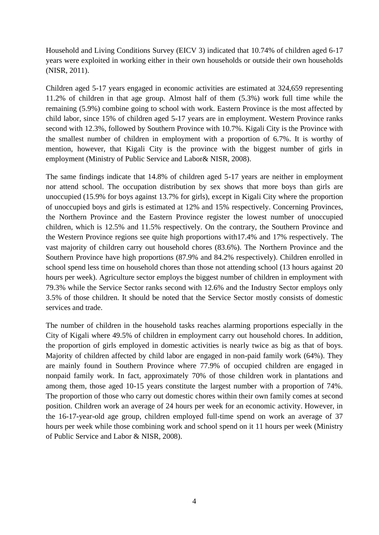Household and Living Conditions Survey (EICV 3) indicated that 10.74% of children aged 6-17 years were exploited in working either in their own households or outside their own households (NISR, 2011).

Children aged 5-17 years engaged in economic activities are estimated at 324,659 representing 11.2% of children in that age group. Almost half of them (5.3%) work full time while the remaining (5.9%) combine going to school with work. Eastern Province is the most affected by child labor, since 15% of children aged 5-17 years are in employment. Western Province ranks second with 12.3%, followed by Southern Province with 10.7%. Kigali City is the Province with the smallest number of children in employment with a proportion of 6.7%. It is worthy of mention, however, that Kigali City is the province with the biggest number of girls in employment (Ministry of Public Service and Labor& NISR, 2008).

The same findings indicate that 14.8% of children aged 5-17 years are neither in employment nor attend school. The occupation distribution by sex shows that more boys than girls are unoccupied (15.9% for boys against 13.7% for girls), except in Kigali City where the proportion of unoccupied boys and girls is estimated at 12% and 15% respectively. Concerning Provinces, the Northern Province and the Eastern Province register the lowest number of unoccupied children, which is 12.5% and 11.5% respectively. On the contrary, the Southern Province and the Western Province regions see quite high proportions with17.4% and 17% respectively. The vast majority of children carry out household chores (83.6%). The Northern Province and the Southern Province have high proportions (87.9% and 84.2% respectively). Children enrolled in school spend less time on household chores than those not attending school (13 hours against 20 hours per week). Agriculture sector employs the biggest number of children in employment with 79.3% while the Service Sector ranks second with 12.6% and the Industry Sector employs only 3.5% of those children. It should be noted that the Service Sector mostly consists of domestic services and trade.

The number of children in the household tasks reaches alarming proportions especially in the City of Kigali where 49.5% of children in employment carry out household chores. In addition, the proportion of girls employed in domestic activities is nearly twice as big as that of boys. Majority of children affected by child labor are engaged in non-paid family work (64%). They are mainly found in Southern Province where 77.9% of occupied children are engaged in nonpaid family work. In fact, approximately 70% of those children work in plantations and among them, those aged 10-15 years constitute the largest number with a proportion of 74%. The proportion of those who carry out domestic chores within their own family comes at second position. Children work an average of 24 hours per week for an economic activity. However, in the 16-17-year-old age group, children employed full-time spend on work an average of 37 hours per week while those combining work and school spend on it 11 hours per week (Ministry of Public Service and Labor & NISR, 2008).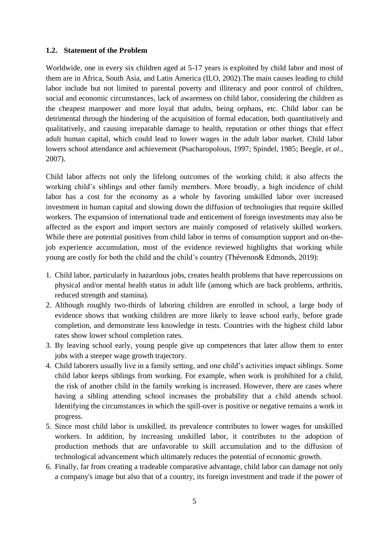#### <span id="page-10-0"></span>**1.2. Statement of the Problem**

Worldwide, one in every six children aged at 5-17 years is exploited by child labor and most of them are in Africa, South Asia, and Latin America (ILO, 2002).The main causes leading to child labor include but not limited to parental poverty and illiteracy and poor control of children, social and economic circumstances, lack of awareness on child labor, considering the children as the cheapest manpower and more loyal that adults, being orphans, etc. Child labor can be detrimental through the hindering of the acquisition of formal education, both quantitatively and qualitatively, and causing irreparable damage to health, reputation or other things that effect adult human capital, which could lead to lower wages in the adult labor market. Child labor lowers school attendance and achievement (Psacharopolous, 1997; Spindel, 1985; Beegle, *et al.*, 2007).

Child labor affects not only the lifelong outcomes of the working child; it also affects the working child's siblings and other family members. More broadly, a high incidence of child labor has a cost for the economy as a whole by favoring unskilled labor over increased investment in human capital and slowing down the diffusion of technologies that require skilled workers. The expansion of international trade and enticement of foreign investments may also be affected as the export and import sectors are mainly composed of relatively skilled workers. While there are potential positives from child labor in terms of consumption support and on-thejob experience accumulation, most of the evidence reviewed highlights that working while young are costly for both the child and the child's country (Thévenon& Edmonds, 2019):

- 1. Child labor, particularly in hazardous jobs, creates health problems that have repercussions on physical and/or mental health status in adult life (among which are back problems, arthritis, reduced strength and stamina).
- 2. Although roughly two-thirds of laboring children are enrolled in school, a large body of evidence shows that working children are more likely to leave school early, before grade completion, and demonstrate less knowledge in tests. Countries with the highest child labor rates show lower school completion rates.
- 3. By leaving school early, young people give up competences that later allow them to enter jobs with a steeper wage growth trajectory.
- 4. Child laborers usually live in a family setting, and one child's activities impact siblings. Some child labor keeps siblings from working. For example, when work is prohibited for a child, the risk of another child in the family working is increased. However, there are cases where having a sibling attending school increases the probability that a child attends school. Identifying the circumstances in which the spill-over is positive or negative remains a work in progress.
- 5. Since most child labor is unskilled, its prevalence contributes to lower wages for unskilled workers. In addition, by increasing unskilled labor, it contributes to the adoption of production methods that are unfavorable to skill accumulation and to the diffusion of technological advancement which ultimately reduces the potential of economic growth.
- 6. Finally, far from creating a tradeable comparative advantage, child labor can damage not only a company's image but also that of a country, its foreign investment and trade if the power of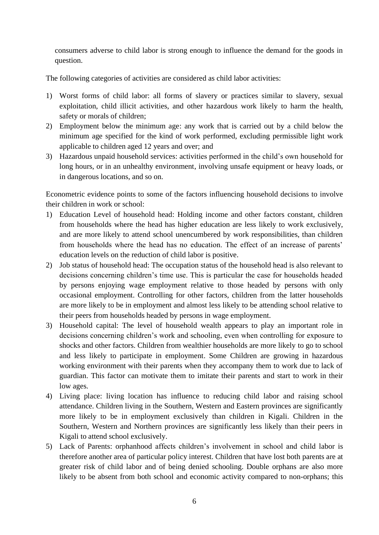consumers adverse to child labor is strong enough to influence the demand for the goods in question.

The following categories of activities are considered as child labor activities:

- 1) Worst forms of child labor: all forms of slavery or practices similar to slavery, sexual exploitation, child illicit activities, and other hazardous work likely to harm the health, safety or morals of children;
- 2) Employment below the minimum age: any work that is carried out by a child below the minimum age specified for the kind of work performed, excluding permissible light work applicable to children aged 12 years and over; and
- 3) Hazardous unpaid household services: activities performed in the child's own household for long hours, or in an unhealthy environment, involving unsafe equipment or heavy loads, or in dangerous locations, and so on.

Econometric evidence points to some of the factors influencing household decisions to involve their children in work or school:

- 1) Education Level of household head: Holding income and other factors constant, children from households where the head has higher education are less likely to work exclusively, and are more likely to attend school unencumbered by work responsibilities, than children from households where the head has no education. The effect of an increase of parents' education levels on the reduction of child labor is positive.
- 2) Job status of household head: The occupation status of the household head is also relevant to decisions concerning children's time use. This is particular the case for households headed by persons enjoying wage employment relative to those headed by persons with only occasional employment. Controlling for other factors, children from the latter households are more likely to be in employment and almost less likely to be attending school relative to their peers from households headed by persons in wage employment.
- 3) Household capital: The level of household wealth appears to play an important role in decisions concerning children's work and schooling, even when controlling for exposure to shocks and other factors. Children from wealthier households are more likely to go to school and less likely to participate in employment. Some Children are growing in hazardous working environment with their parents when they accompany them to work due to lack of guardian. This factor can motivate them to imitate their parents and start to work in their low ages.
- 4) Living place: living location has influence to reducing child labor and raising school attendance. Children living in the Southern, Western and Eastern provinces are significantly more likely to be in employment exclusively than children in Kigali. Children in the Southern, Western and Northern provinces are significantly less likely than their peers in Kigali to attend school exclusively.
- 5) Lack of Parents: orphanhood affects children's involvement in school and child labor is therefore another area of particular policy interest. Children that have lost both parents are at greater risk of child labor and of being denied schooling. Double orphans are also more likely to be absent from both school and economic activity compared to non-orphans; this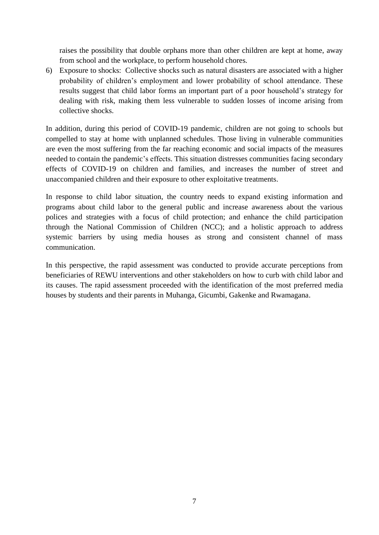raises the possibility that double orphans more than other children are kept at home, away from school and the workplace, to perform household chores.

6) Exposure to shocks: Collective shocks such as natural disasters are associated with a higher probability of children's employment and lower probability of school attendance. These results suggest that child labor forms an important part of a poor household's strategy for dealing with risk, making them less vulnerable to sudden losses of income arising from collective shocks.

In addition, during this period of COVID-19 pandemic, children are not going to schools but compelled to stay at home with unplanned schedules. Those living in vulnerable communities are even the most suffering from the far reaching economic and social impacts of the measures needed to contain the pandemic's effects. This situation distresses communities facing secondary effects of COVID-19 on children and families, and increases the number of street and unaccompanied children and their exposure to other exploitative treatments.

In response to child labor situation, the country needs to expand existing information and programs about child labor to the general public and increase awareness about the various polices and strategies with a focus of child protection; and enhance the child participation through the National Commission of Children (NCC); and a holistic approach to address systemic barriers by using media houses as strong and consistent channel of mass communication.

In this perspective, the rapid assessment was conducted to provide accurate perceptions from beneficiaries of REWU interventions and other stakeholders on how to curb with child labor and its causes. The rapid assessment proceeded with the identification of the most preferred media houses by students and their parents in Muhanga, Gicumbi, Gakenke and Rwamagana.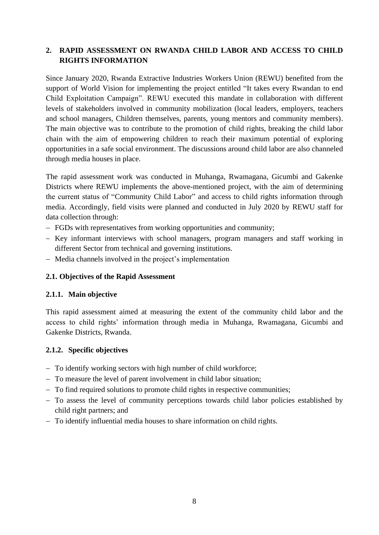## <span id="page-13-0"></span>**2. RAPID ASSESSMENT ON RWANDA CHILD LABOR AND ACCESS TO CHILD RIGHTS INFORMATION**

Since January 2020, Rwanda Extractive Industries Workers Union (REWU) benefited from the support of World Vision for implementing the project entitled "It takes every Rwandan to end Child Exploitation Campaign". REWU executed this mandate in collaboration with different levels of stakeholders involved in community mobilization (local leaders, employers, teachers and school managers, Children themselves, parents, young mentors and community members). The main objective was to contribute to the promotion of child rights, breaking the child labor chain with the aim of empowering children to reach their maximum potential of exploring opportunities in a safe social environment. The discussions around child labor are also channeled through media houses in place.

The rapid assessment work was conducted in Muhanga, Rwamagana, Gicumbi and Gakenke Districts where REWU implements the above-mentioned project, with the aim of determining the current status of "Community Child Labor" and access to child rights information through media. Accordingly, field visits were planned and conducted in July 2020 by REWU staff for data collection through:

- − FGDs with representatives from working opportunities and community;
- − Key informant interviews with school managers, program managers and staff working in different Sector from technical and governing institutions.
- − Media channels involved in the project's implementation

### <span id="page-13-1"></span>**2.1. Objectives of the Rapid Assessment**

### <span id="page-13-2"></span>**2.1.1. Main objective**

This rapid assessment aimed at measuring the extent of the community child labor and the access to child rights' information through media in Muhanga, Rwamagana, Gicumbi and Gakenke Districts, Rwanda.

### <span id="page-13-3"></span>**2.1.2. Specific objectives**

- − To identify working sectors with high number of child workforce;
- − To measure the level of parent involvement in child labor situation;
- − To find required solutions to promote child rights in respective communities;
- − To assess the level of community perceptions towards child labor policies established by child right partners; and
- − To identify influential media houses to share information on child rights.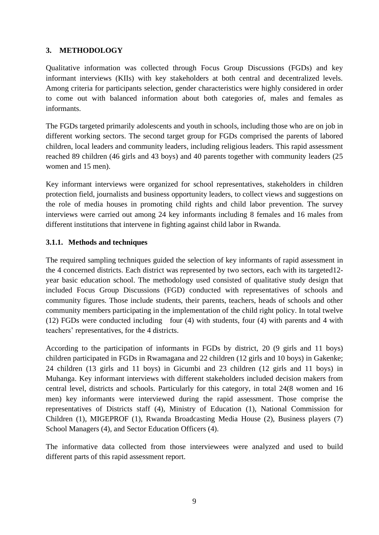## <span id="page-14-0"></span>**3. METHODOLOGY**

Qualitative information was collected through Focus Group Discussions (FGDs) and key informant interviews (KIIs) with key stakeholders at both central and decentralized levels. Among criteria for participants selection, gender characteristics were highly considered in order to come out with balanced information about both categories of, males and females as informants.

The FGDs targeted primarily adolescents and youth in schools, including those who are on job in different working sectors. The second target group for FGDs comprised the parents of labored children, local leaders and community leaders, including religious leaders. This rapid assessment reached 89 children (46 girls and 43 boys) and 40 parents together with community leaders (25 women and 15 men).

Key informant interviews were organized for school representatives, stakeholders in children protection field, journalists and business opportunity leaders, to collect views and suggestions on the role of media houses in promoting child rights and child labor prevention. The survey interviews were carried out among 24 key informants including 8 females and 16 males from different institutions that intervene in fighting against child labor in Rwanda.

## <span id="page-14-1"></span>**3.1.1. Methods and techniques**

The required sampling techniques guided the selection of key informants of rapid assessment in the 4 concerned districts. Each district was represented by two sectors, each with its targeted12 year basic education school. The methodology used consisted of qualitative study design that included Focus Group Discussions (FGD) conducted with representatives of schools and community figures. Those include students, their parents, teachers, heads of schools and other community members participating in the implementation of the child right policy. In total twelve (12) FGDs were conducted including four (4) with students, four (4) with parents and 4 with teachers' representatives, for the 4 districts.

According to the participation of informants in FGDs by district, 20 (9 girls and 11 boys) children participated in FGDs in Rwamagana and 22 children (12 girls and 10 boys) in Gakenke; 24 children (13 girls and 11 boys) in Gicumbi and 23 children (12 girls and 11 boys) in Muhanga. Key informant interviews with different stakeholders included decision makers from central level, districts and schools. Particularly for this category, in total 24(8 women and 16 men) key informants were interviewed during the rapid assessment. Those comprise the representatives of Districts staff (4), Ministry of Education (1), National Commission for Children (1), MIGEPROF (1), Rwanda Broadcasting Media House (2), Business players (7) School Managers (4), and Sector Education Officers (4).

The informative data collected from those interviewees were analyzed and used to build different parts of this rapid assessment report.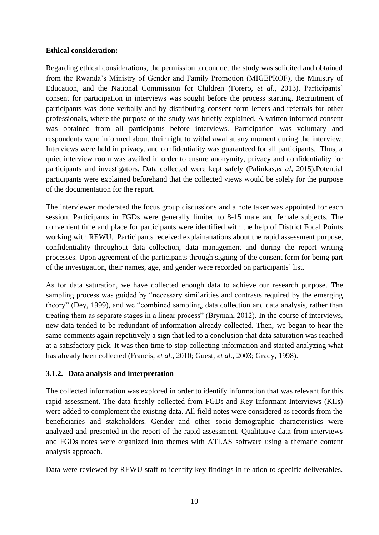#### **Ethical consideration:**

Regarding ethical considerations, the permission to conduct the study was solicited and obtained from the Rwanda's Ministry of Gender and Family Promotion (MIGEPROF), the Ministry of Education, and the National Commission for Children (Forero, *et al.,* 2013). Participants' consent for participation in interviews was sought before the process starting. Recruitment of participants was done verbally and by distributing consent form letters and referrals for other professionals, where the purpose of the study was briefly explained. A written informed consent was obtained from all participants before interviews. Participation was voluntary and respondents were informed about their right to withdrawal at any moment during the interview. Interviews were held in privacy, and confidentiality was guaranteed for all participants. Thus, a quiet interview room was availed in order to ensure anonymity, privacy and confidentiality for participants and investigators. Data collected were kept safely (Palinkas,*et al,* 2015).Potential participants were explained beforehand that the collected views would be solely for the purpose of the documentation for the report.

The interviewer moderated the focus group discussions and a note taker was appointed for each session. Participants in FGDs were generally limited to 8-15 male and female subjects. The convenient time and place for participants were identified with the help of District Focal Points working with REWU. Participants received explainanations about the rapid assessment purpose, confidentiality throughout data collection, data management and during the report writing processes. Upon agreement of the participants through signing of the consent form for being part of the investigation, their names, age, and gender were recorded on participants' list.

As for data saturation, we have collected enough data to achieve our research purpose. The sampling process was guided by "necessary similarities and contrasts required by the emerging theory" (Dey, 1999), and we "combined sampling, data collection and data analysis, rather than treating them as separate stages in a linear process" (Bryman, 2012). In the course of interviews, new data tended to be redundant of information already collected. Then, we began to hear the same comments again repetitively a sign that led to a conclusion that data saturation was reached at a satisfactory pick. It was then time to stop collecting information and started analyzing what has already been collected (Francis, *et al.*, 2010; Guest, *et al.,* 2003; Grady, 1998).

### <span id="page-15-0"></span>**3.1.2. Data analysis and interpretation**

The collected information was explored in order to identify information that was relevant for this rapid assessment. The data freshly collected from FGDs and Key Informant Interviews (KIIs) were added to complement the existing data. All field notes were considered as records from the beneficiaries and stakeholders. Gender and other socio-demographic characteristics were analyzed and presented in the report of the rapid assessment. Qualitative data from interviews and FGDs notes were organized into themes with ATLAS software using a thematic content analysis approach.

Data were reviewed by REWU staff to identify key findings in relation to specific deliverables.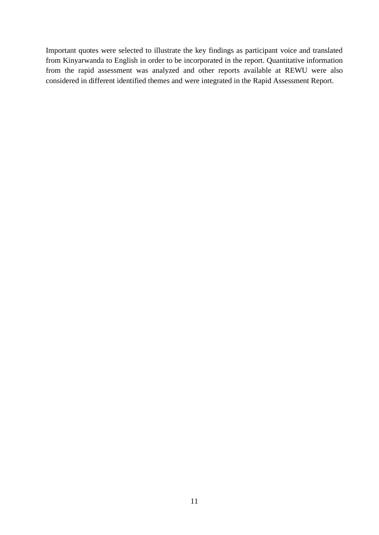Important quotes were selected to illustrate the key findings as participant voice and translated from Kinyarwanda to English in order to be incorporated in the report. Quantitative information from the rapid assessment was analyzed and other reports available at REWU were also considered in different identified themes and were integrated in the Rapid Assessment Report.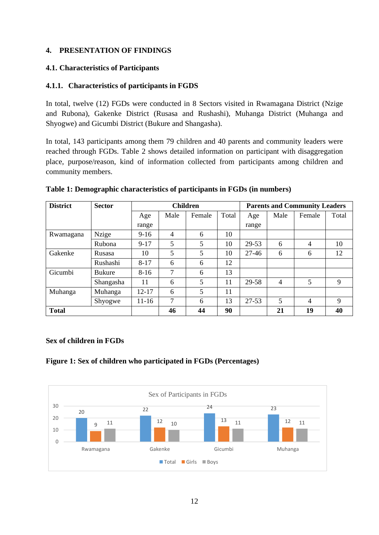## <span id="page-17-0"></span>**4. PRESENTATION OF FINDINGS**

#### <span id="page-17-1"></span>**4.1. Characteristics of Participants**

### <span id="page-17-2"></span>**4.1.1. Characteristics of participants in FGDS**

In total, twelve (12) FGDs were conducted in 8 Sectors visited in Rwamagana District (Nzige and Rubona), Gakenke District (Rusasa and Rushashi), Muhanga District (Muhanga and Shyogwe) and Gicumbi District (Bukure and Shangasha).

In total, 143 participants among them 79 children and 40 parents and community leaders were reached through FGDs. Table 2 shows detailed information on participant with disaggregation place, purpose/reason, kind of information collected from participants among children and community members.

| <b>District</b><br><b>Sector</b> |               | <b>Children</b> |                |        |       | <b>Parents and Community Leaders</b> |      |                |       |
|----------------------------------|---------------|-----------------|----------------|--------|-------|--------------------------------------|------|----------------|-------|
|                                  |               | Age             | Male           | Female | Total | Age                                  | Male | Female         | Total |
|                                  |               | range           |                |        |       | range                                |      |                |       |
| Rwamagana                        | <b>Nzige</b>  | $9-16$          | $\overline{4}$ | 6      | 10    |                                      |      |                |       |
|                                  | Rubona        | $9 - 17$        | 5              | 5      | 10    | 29-53                                | 6    | $\overline{4}$ | 10    |
| Gakenke                          | Rusasa        | 10              | 5              | 5      | 10    | $27 - 46$                            | 6    | 6              | 12    |
|                                  | Rushashi      | $8 - 17$        | 6              | 6      | 12    |                                      |      |                |       |
| Gicumbi                          | <b>Bukure</b> | $8-16$          | 7              | 6      | 13    |                                      |      |                |       |
|                                  | Shangasha     | 11              | 6              | 5      | 11    | 29-58                                | 4    | 5              | 9     |
| Muhanga                          | Muhanga       | $12 - 17$       | 6              | 5      | 11    |                                      |      |                |       |
|                                  | Shyogwe       | $11 - 16$       | 7              | 6      | 13    | $27 - 53$                            | 5    | $\overline{4}$ | 9     |
| <b>Total</b>                     |               |                 | 46             | 44     | 90    |                                      | 21   | 19             | 40    |

#### <span id="page-17-3"></span>**Table 1: Demographic characteristics of participants in FGDs (in numbers)**

### **Sex of children in FGDs**

### <span id="page-17-4"></span>**Figure 1: Sex of children who participated in FGDs (Percentages)**

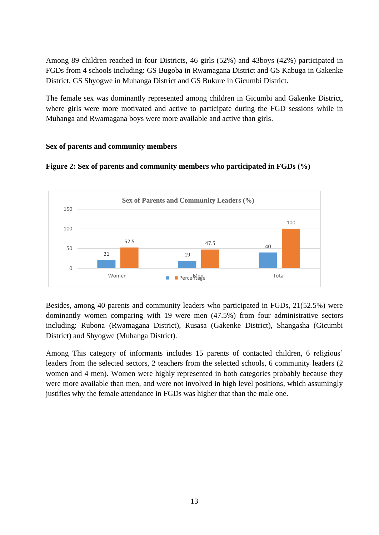Among 89 children reached in four Districts, 46 girls (52%) and 43boys (42%) participated in FGDs from 4 schools including: GS Bugoba in Rwamagana District and GS Kabuga in Gakenke District, GS Shyogwe in Muhanga District and GS Bukure in Gicumbi District.

The female sex was dominantly represented among children in Gicumbi and Gakenke District, where girls were more motivated and active to participate during the FGD sessions while in Muhanga and Rwamagana boys were more available and active than girls.

#### **Sex of parents and community members**



<span id="page-18-0"></span>**Figure 2: Sex of parents and community members who participated in FGDs (%)**

Besides, among 40 parents and community leaders who participated in FGDs, 21(52.5%) were dominantly women comparing with 19 were men (47.5%) from four administrative sectors including: Rubona (Rwamagana District), Rusasa (Gakenke District), Shangasha (Gicumbi District) and Shyogwe (Muhanga District).

Among This category of informants includes 15 parents of contacted children, 6 religious' leaders from the selected sectors, 2 teachers from the selected schools, 6 community leaders (2 women and 4 men). Women were highly represented in both categories probably because they were more available than men, and were not involved in high level positions, which assumingly justifies why the female attendance in FGDs was higher that than the male one.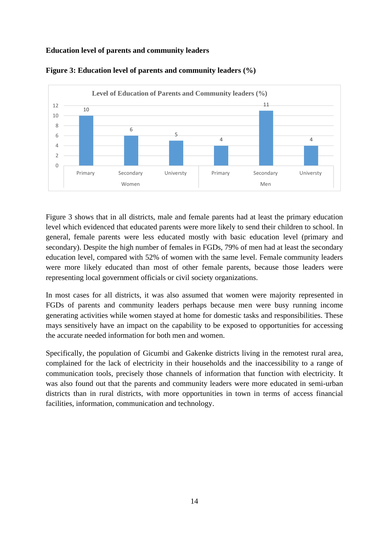### **Education level of parents and community leaders**



<span id="page-19-0"></span>

Figure 3 shows that in all districts, male and female parents had at least the primary education level which evidenced that educated parents were more likely to send their children to school. In general, female parents were less educated mostly with basic education level (primary and secondary). Despite the high number of females in FGDs, 79% of men had at least the secondary education level, compared with 52% of women with the same level. Female community leaders were more likely educated than most of other female parents, because those leaders were representing local government officials or civil society organizations.

In most cases for all districts, it was also assumed that women were majority represented in FGDs of parents and community leaders perhaps because men were busy running income generating activities while women stayed at home for domestic tasks and responsibilities. These mays sensitively have an impact on the capability to be exposed to opportunities for accessing the accurate needed information for both men and women.

Specifically, the population of Gicumbi and Gakenke districts living in the remotest rural area, complained for the lack of electricity in their households and the inaccessibility to a range of communication tools, precisely those channels of information that function with electricity. It was also found out that the parents and community leaders were more educated in semi-urban districts than in rural districts, with more opportunities in town in terms of access financial facilities, information, communication and technology.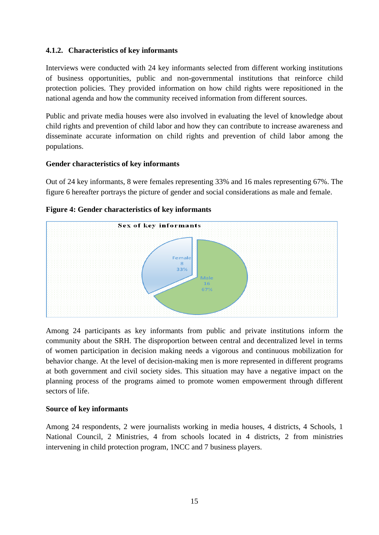## <span id="page-20-0"></span>**4.1.2. Characteristics of key informants**

Interviews were conducted with 24 key informants selected from different working institutions of business opportunities, public and non-governmental institutions that reinforce child protection policies. They provided information on how child rights were repositioned in the national agenda and how the community received information from different sources.

Public and private media houses were also involved in evaluating the level of knowledge about child rights and prevention of child labor and how they can contribute to increase awareness and disseminate accurate information on child rights and prevention of child labor among the populations.

### **Gender characteristics of key informants**

Out of 24 key informants, 8 were females representing 33% and 16 males representing 67%. The figure 6 hereafter portrays the picture of gender and social considerations as male and female.



## <span id="page-20-1"></span>**Figure 4: Gender characteristics of key informants**

Among 24 participants as key informants from public and private institutions inform the community about the SRH. The disproportion between central and decentralized level in terms of women participation in decision making needs a vigorous and continuous mobilization for behavior change. At the level of decision-making men is more represented in different programs at both government and civil society sides. This situation may have a negative impact on the planning process of the programs aimed to promote women empowerment through different sectors of life.

## **Source of key informants**

<span id="page-20-2"></span>Among 24 respondents, 2 were journalists working in media houses, 4 districts, 4 Schools, 1 National Council, 2 Ministries, 4 from schools located in 4 districts, 2 from ministries intervening in child protection program, 1NCC and 7 business players.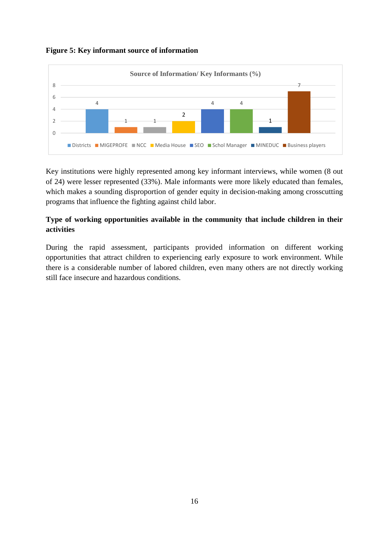



Key institutions were highly represented among key informant interviews, while women (8 out of 24) were lesser represented (33%). Male informants were more likely educated than females, which makes a sounding disproportion of gender equity in decision-making among crosscutting programs that influence the fighting against child labor.

## <span id="page-21-0"></span>**Type of working opportunities available in the community that include children in their activities**

During the rapid assessment, participants provided information on different working opportunities that attract children to experiencing early exposure to work environment. While there is a considerable number of labored children, even many others are not directly working still face insecure and hazardous conditions.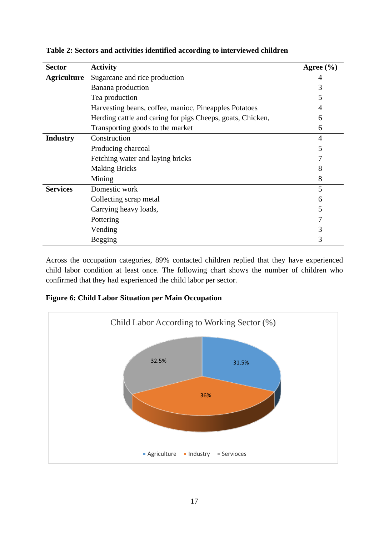| <b>Sector</b>      | <b>Activity</b>                                            | Agree $(\% )$  |
|--------------------|------------------------------------------------------------|----------------|
| <b>Agriculture</b> | Sugarcane and rice production                              |                |
|                    | Banana production                                          | 3              |
|                    | Tea production                                             | 5              |
|                    | Harvesting beans, coffee, manioc, Pineapples Potatoes      | 4              |
|                    | Herding cattle and caring for pigs Cheeps, goats, Chicken, | 6              |
|                    | Transporting goods to the market                           | 6              |
| <b>Industry</b>    | Construction                                               | $\overline{4}$ |
|                    | Producing charcoal                                         | 5              |
|                    | Fetching water and laying bricks                           |                |
|                    | <b>Making Bricks</b>                                       | 8              |
|                    | Mining                                                     | 8              |
| <b>Services</b>    | Domestic work                                              | 5              |
|                    | Collecting scrap metal                                     | 6              |
|                    | Carrying heavy loads,                                      | 5              |
|                    | Pottering                                                  |                |
|                    | Vending                                                    | 3              |
|                    | <b>Begging</b>                                             | 3              |

<span id="page-22-0"></span>**Table 2: Sectors and activities identified according to interviewed children**

Across the occupation categories, 89% contacted children replied that they have experienced child labor condition at least once. The following chart shows the number of children who confirmed that they had experienced the child labor per sector.

<span id="page-22-1"></span>**Figure 6: Child Labor Situation per Main Occupation**

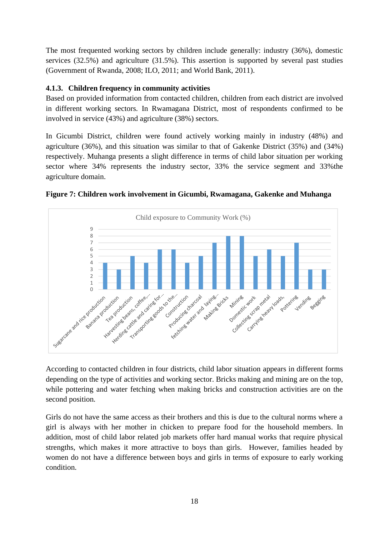The most frequented working sectors by children include generally: industry (36%), domestic services (32.5%) and agriculture (31.5%). This assertion is supported by several past studies (Government of Rwanda, 2008; ILO, 2011; and World Bank, 2011).

## <span id="page-23-0"></span>**4.1.3. Children frequency in community activities**

Based on provided information from contacted children, children from each district are involved in different working sectors. In Rwamagana District, most of respondents confirmed to be involved in service (43%) and agriculture (38%) sectors.

In Gicumbi District, children were found actively working mainly in industry (48%) and agriculture (36%), and this situation was similar to that of Gakenke District (35%) and (34%) respectively. Muhanga presents a slight difference in terms of child labor situation per working sector where 34% represents the industry sector, 33% the service segment and 33%the agriculture domain.



<span id="page-23-1"></span>

According to contacted children in four districts, child labor situation appears in different forms depending on the type of activities and working sector. Bricks making and mining are on the top, while pottering and water fetching when making bricks and construction activities are on the second position.

Girls do not have the same access as their brothers and this is due to the cultural norms where a girl is always with her mother in chicken to prepare food for the household members. In addition, most of child labor related job markets offer hard manual works that require physical strengths, which makes it more attractive to boys than girls. However, families headed by women do not have a difference between boys and girls in terms of exposure to early working condition.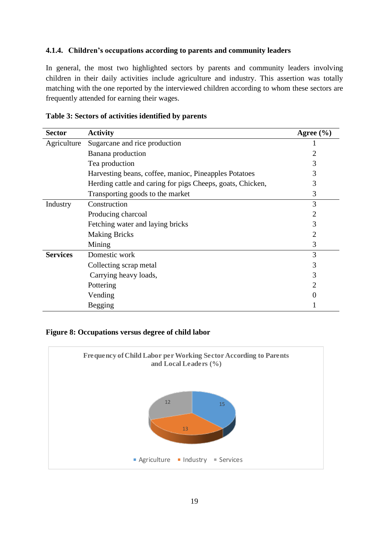#### <span id="page-24-0"></span>**4.1.4. Children's occupations according to parents and community leaders**

In general, the most two highlighted sectors by parents and community leaders involving children in their daily activities include agriculture and industry. This assertion was totally matching with the one reported by the interviewed children according to whom these sectors are frequently attended for earning their wages.

| <b>Sector</b>   | <b>Activity</b>                                            | Agree $(\% )$  |
|-----------------|------------------------------------------------------------|----------------|
| Agriculture     | Sugarcane and rice production                              |                |
|                 | Banana production                                          |                |
|                 | Tea production                                             | 3              |
|                 | Harvesting beans, coffee, manioc, Pineapples Potatoes      | 3              |
|                 | Herding cattle and caring for pigs Cheeps, goats, Chicken, | 3              |
|                 | Transporting goods to the market                           | 3              |
| Industry        | Construction                                               | 3              |
|                 | Producing charcoal                                         | $\overline{2}$ |
|                 | Fetching water and laying bricks                           | 3              |
|                 | <b>Making Bricks</b>                                       | 2              |
|                 | Mining                                                     | 3              |
| <b>Services</b> | Domestic work                                              | 3              |
|                 | Collecting scrap metal                                     | 3              |
|                 | Carrying heavy loads,                                      | 3              |
|                 | Pottering                                                  | $\overline{2}$ |
|                 | Vending                                                    | $\overline{0}$ |
|                 | Begging                                                    |                |

<span id="page-24-1"></span>

| Table 3: Sectors of activities identified by parents |
|------------------------------------------------------|
|------------------------------------------------------|

#### <span id="page-24-2"></span>**Figure 8: Occupations versus degree of child labor**

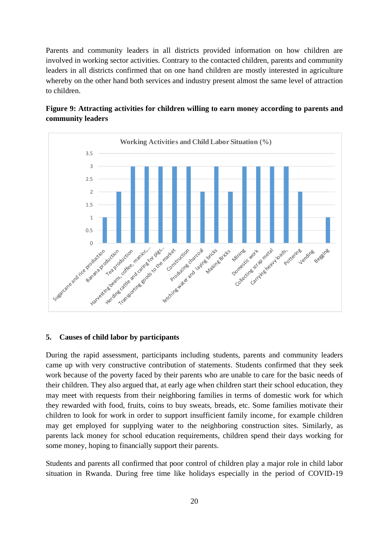Parents and community leaders in all districts provided information on how children are involved in working sector activities. Contrary to the contacted children, parents and community leaders in all districts confirmed that on one hand children are mostly interested in agriculture whereby on the other hand both services and industry present almost the same level of attraction to children.



## <span id="page-25-1"></span>**Figure 9: Attracting activities for children willing to earn money according to parents and community leaders**

### <span id="page-25-0"></span>**5. Causes of child labor by participants**

During the rapid assessment, participants including students, parents and community leaders came up with very constructive contribution of statements. Students confirmed that they seek work because of the poverty faced by their parents who are unable to care for the basic needs of their children. They also argued that, at early age when children start their school education, they may meet with requests from their neighboring families in terms of domestic work for which they rewarded with food, fruits, coins to buy sweats, breads, etc. Some families motivate their children to look for work in order to support insufficient family income, for example children may get employed for supplying water to the neighboring construction sites. Similarly, as parents lack money for school education requirements, children spend their days working for some money, hoping to financially support their parents.

Students and parents all confirmed that poor control of children play a major role in child labor situation in Rwanda. During free time like holidays especially in the period of COVID-19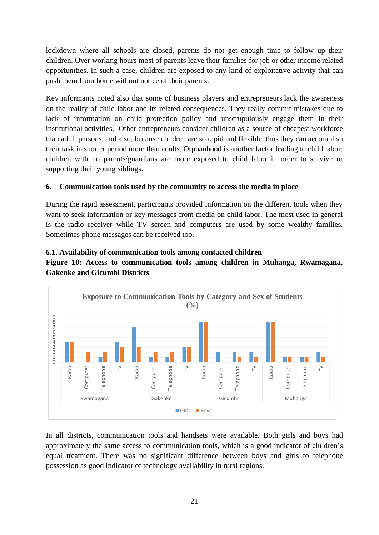lockdown where all schools are closed, parents do not get enough time to follow up their children. Over working hours most of parents leave their families for job or other income related opportunities. In such a case, children are exposed to any kind of exploitative activity that can push them from home without notice of their parents.

Key informants noted also that some of business players and entrepreneurs lack the awareness on the reality of child labor and its related consequences. They really commit mistakes due to lack of information on child protection policy and unscrupulously engage them in their institutional activities. Other entrepreneurs consider children as a source of cheapest workforce than adult persons. and also, because children are so rapid and flexible, thus they can accomplish their task in shorter period more than adults. Orphanhood is another factor leading to child labor; children with no parents/guardians are more exposed to child labor in order to survive or supporting their young siblings.

## <span id="page-26-0"></span>**6. Communication tools used by the community to access the media in place**

During the rapid assessment, participants provided information on the different tools when they want to seek information or key messages from media on child labor. The most used in general is the radio receiver while TV screen and computers are used by some wealthy families. Sometimes phone messages can be received too.

### <span id="page-26-1"></span>**6.1. Availability of communication tools among contacted children**

<span id="page-26-2"></span>**Figure 10: Access to communication tools among children in Muhanga, Rwamagana, Gakenke and Gicumbi Districts**



In all districts, communication tools and handsets were available. Both girls and boys had approximately the same access to communication tools, which is a good indicator of children's equal treatment. There was no significant difference between boys and girls to telephone possession as good indicator of technology availability in rural regions.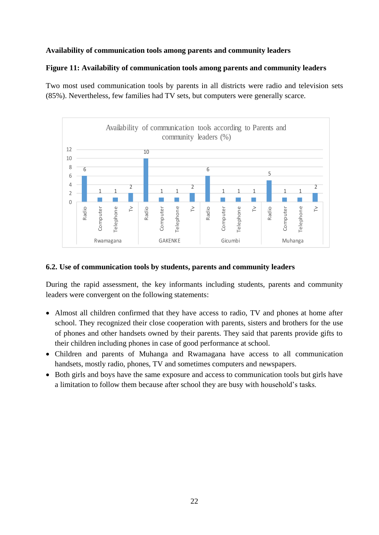#### **Availability of communication tools among parents and community leaders**

#### <span id="page-27-1"></span>**Figure 11: Availability of communication tools among parents and community leaders**

Two most used communication tools by parents in all districts were radio and television sets (85%). Nevertheless, few families had TV sets, but computers were generally scarce.



#### <span id="page-27-0"></span>**6.2. Use of communication tools by students, parents and community leaders**

During the rapid assessment, the key informants including students, parents and community leaders were convergent on the following statements:

- Almost all children confirmed that they have access to radio, TV and phones at home after school. They recognized their close cooperation with parents, sisters and brothers for the use of phones and other handsets owned by their parents. They said that parents provide gifts to their children including phones in case of good performance at school.
- Children and parents of Muhanga and Rwamagana have access to all communication handsets, mostly radio, phones, TV and sometimes computers and newspapers.
- Both girls and boys have the same exposure and access to communication tools but girls have a limitation to follow them because after school they are busy with household's tasks.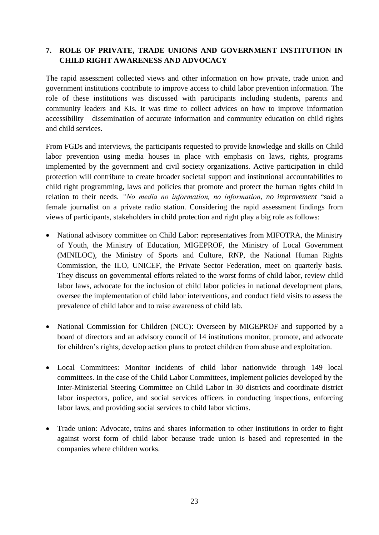## <span id="page-28-0"></span>**7. ROLE OF PRIVATE, TRADE UNIONS AND GOVERNMENT INSTITUTION IN CHILD RIGHT AWARENESS AND ADVOCACY**

The rapid assessment collected views and other information on how private, trade union and government institutions contribute to improve access to child labor prevention information. The role of these institutions was discussed with participants including students, parents and community leaders and KIs. It was time to collect advices on how to improve information accessibility dissemination of accurate information and community education on child rights and child services.

From FGDs and interviews, the participants requested to provide knowledge and skills on Child labor prevention using media houses in place with emphasis on laws, rights, programs implemented by the government and civil society organizations. Active participation in child protection will contribute to create broader societal support and institutional accountabilities to child right programming, laws and policies that promote and protect the human rights child in relation to their needs. *"No media no information, no information, no improvement* "said a female journalist on a private radio station. Considering the rapid assessment findings from views of participants, stakeholders in child protection and right play a big role as follows:

- National advisory committee on Child Labor: representatives from MIFOTRA, the Ministry of Youth, the Ministry of Education, MIGEPROF, the Ministry of Local Government (MINILOC), the Ministry of Sports and Culture, RNP, the National Human Rights Commission, the ILO, UNICEF, the Private Sector Federation, meet on quarterly basis. They discuss on governmental efforts related to the worst forms of child labor, review child labor laws, advocate for the inclusion of child labor policies in national development plans, oversee the implementation of child labor interventions, and conduct field visits to assess the prevalence of child labor and to raise awareness of child lab.
- National Commission for Children (NCC): Overseen by MIGEPROF and supported by a board of directors and an advisory council of 14 institutions monitor, promote, and advocate for children's rights; develop action plans to protect children from abuse and exploitation.
- Local Committees: Monitor incidents of child labor nationwide through 149 local committees. In the case of the Child Labor Committees, implement policies developed by the Inter-Ministerial Steering Committee on Child Labor in 30 districts and coordinate district labor inspectors, police, and social services officers in conducting inspections, enforcing labor laws, and providing social services to child labor victims.
- Trade union: Advocate, trains and shares information to other institutions in order to fight against worst form of child labor because trade union is based and represented in the companies where children works.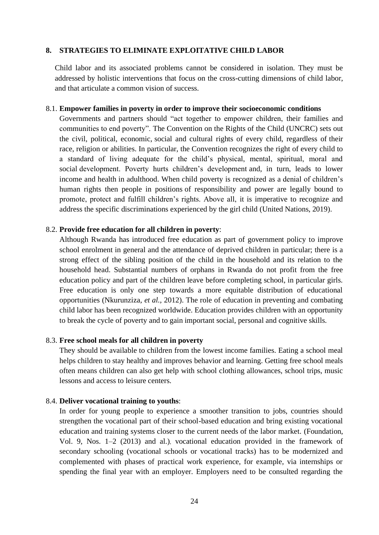#### <span id="page-29-0"></span>**8. STRATEGIES TO ELIMINATE EXPLOITATIVE CHILD LABOR**

Child labor and its associated problems cannot be considered in isolation. They must be addressed by holistic interventions that focus on the cross-cutting dimensions of child labor, and that articulate a common vision of success.

#### 8.1. **Empower families in poverty in order to improve their socioeconomic conditions**

Governments and partners should "act together to empower children, their families and communities to end poverty". The Convention on the Rights of the Child (UNCRC) sets out the civil, political, economic, social and cultural rights of every child, regardless of their race, religion or abilities. In particular, the Convention recognizes the right of every child to a standard of living adequate for the child's physical, mental, spiritual, moral and social development. Poverty hurts children's development and, in turn, leads to lower income and health in adulthood. When child poverty is recognized as a denial of children's human rights then people in positions of responsibility and power are legally bound to promote, protect and fulfill children's rights. Above all, it is imperative to recognize and address the specific discriminations experienced by the girl child (United Nations, 2019).

#### 8.2. **Provide free education for all children in poverty**:

Although Rwanda has introduced free education as part of government policy to improve school enrolment in general and the attendance of deprived children in particular; there is a strong effect of the sibling position of the child in the household and its relation to the household head. Substantial numbers of orphans in Rwanda do not profit from the free education policy and part of the children leave before completing school, in particular girls. Free education is only one step towards a more equitable distribution of educational opportunities (Nkurunziza, *et al.,* 2012). The role of education in preventing and combating child labor has been recognized worldwide. Education provides children with an opportunity to break the cycle of poverty and to gain important social, personal and cognitive skills.

#### 8.3. **Free school meals for all children in poverty**

They should be available to children from the lowest income families. Eating a school meal helps children to stay healthy and improves behavior and learning. Getting free school meals often means children can also get help with school clothing allowances, school trips, music lessons and access to leisure centers.

#### 8.4. **Deliver vocational training to youths**:

In order for young people to experience a smoother transition to jobs, countries should strengthen the vocational part of their school-based education and bring existing vocational education and training systems closer to the current needs of the labor market. (Foundation, Vol. 9, Nos. 1–2 (2013) and al.), vocational education provided in the framework of secondary schooling (vocational schools or vocational tracks) has to be modernized and complemented with phases of practical work experience, for example, via internships or spending the final year with an employer. Employers need to be consulted regarding the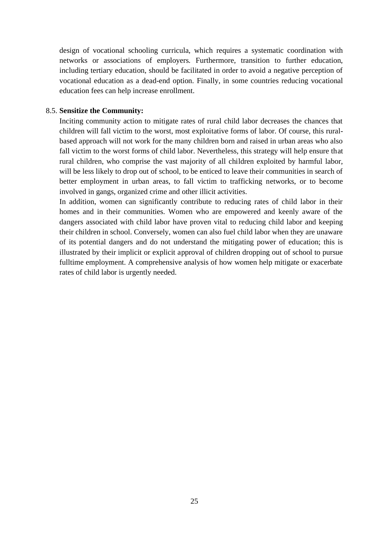design of vocational schooling curricula, which requires a systematic coordination with networks or associations of employers. Furthermore, transition to further education, including tertiary education, should be facilitated in order to avoid a negative perception of vocational education as a dead-end option. Finally, in some countries reducing vocational education fees can help increase enrollment.

#### 8.5. **Sensitize the Community:**

Inciting community action to mitigate rates of rural child labor decreases the chances that children will fall victim to the worst, most exploitative forms of labor. Of course, this ruralbased approach will not work for the many children born and raised in urban areas who also fall victim to the worst forms of child labor. Nevertheless, this strategy will help ensure that rural children, who comprise the vast majority of all children exploited by harmful labor, will be less likely to drop out of school, to be enticed to leave their communities in search of better employment in urban areas, to fall victim to trafficking networks, or to become involved in gangs, organized crime and other illicit activities.

<span id="page-30-0"></span>In addition, women can significantly contribute to reducing rates of child labor in their homes and in their communities. Women who are empowered and keenly aware of the dangers associated with child labor have proven vital to reducing child labor and keeping their children in school. Conversely, women can also fuel child labor when they are unaware of its potential dangers and do not understand the mitigating power of education; this is illustrated by their implicit or explicit approval of children dropping out of school to pursue fulltime employment. A comprehensive analysis of how women help mitigate or exacerbate rates of child labor is urgently needed.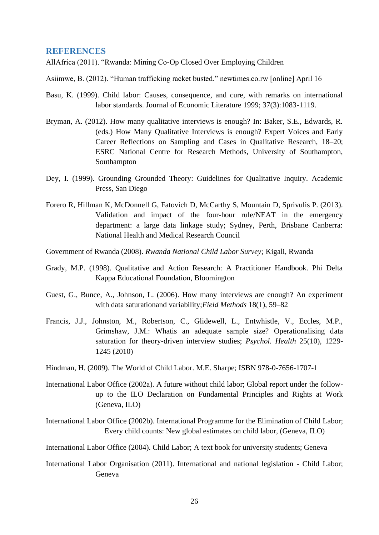#### **REFERENCES**

AllAfrica (2011). "Rwanda: Mining Co-Op Closed Over Employing Children

Asiimwe, B. (2012). "Human trafficking racket busted." newtimes.co.rw [online] April 16

- Basu, K. (1999). Child labor: Causes, consequence, and cure, with remarks on international labor standards. Journal of Economic Literature 1999; 37(3):1083-1119.
- Bryman, A. (2012). How many qualitative interviews is enough? In: Baker, S.E., Edwards, R. (eds.) How Many Qualitative Interviews is enough? Expert Voices and Early Career Reflections on Sampling and Cases in Qualitative Research, 18–20; ESRC National Centre for Research Methods, University of Southampton, Southampton
- Dey, I. (1999). Grounding Grounded Theory: Guidelines for Qualitative Inquiry. Academic Press, San Diego
- Forero R, Hillman K, McDonnell G, Fatovich D, McCarthy S, Mountain D, Sprivulis P. (2013). Validation and impact of the four-hour rule/NEAT in the emergency department: a large data linkage study; Sydney, Perth, Brisbane Canberra: National Health and Medical Research Council
- Government of Rwanda (2008). *Rwanda National Child Labor Survey;* Kigali, Rwanda
- Grady, M.P. (1998). Qualitative and Action Research: A Practitioner Handbook. Phi Delta Kappa Educational Foundation, Bloomington
- Guest, G., Bunce, A., Johnson, L. (2006). How many interviews are enough? An experiment with data saturationand variability;*Field Methods* 18(1), 59–82
- Francis, J.J., Johnston, M., Robertson, C., Glidewell, L., Entwhistle, V., Eccles, M.P., Grimshaw, J.M.: Whatis an adequate sample size? Operationalising data saturation for theory-driven interview studies; *Psychol. Health* 25(10), 1229- 1245 (2010)
- Hindman, H. (2009). The World of Child Labor. M.E. Sharpe; ISBN 978-0-7656-1707-1
- International Labor Office (2002a). A future without child labor; Global report under the followup to the ILO Declaration on Fundamental Principles and Rights at Work (Geneva, ILO)
- International Labor Office (2002b). International Programme for the Elimination of Child Labor; Every child counts: New global estimates on child labor, (Geneva, ILO)

International Labor Office (2004). Child Labor; A text book for university students; Geneva

International Labor Organisation (2011). International and national legislation - Child Labor; Geneva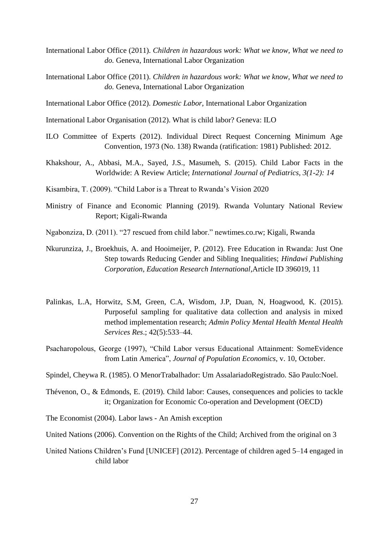International Labor Office (2011). *Children in hazardous work: What we know, What we need to do.* Geneva, International Labor Organization

International Labor Office (2011). *Children in hazardous work: What we know, What we need to do.* Geneva, International Labor Organization

International Labor Office (2012). *Domestic Labor*, International Labor Organization

International Labor Organisation (2012). What is child labor? Geneva: ILO

- ILO Committee of Experts (2012). Individual Direct Request Concerning Minimum Age Convention, 1973 (No. 138) Rwanda (ratification: 1981) Published: 2012.
- Khakshour, A., Abbasi, M.A., Sayed, J.S., Masumeh, S. (2015). Child Labor Facts in the Worldwide: A Review Article; *International Journal of Pediatrics, 3(1-2): 14*
- Kisambira, T. (2009). "Child Labor is a Threat to Rwanda's Vision 2020
- Ministry of Finance and Economic Planning (2019). Rwanda Voluntary National Review Report; Kigali-Rwanda
- Ngabonziza, D. (2011). "27 rescued from child labor." newtimes.co.rw; Kigali, Rwanda
- Nkurunziza, J., Broekhuis, A. and Hooimeijer, P. (2012). Free Education in Rwanda: Just One Step towards Reducing Gender and Sibling Inequalities; *Hindawi Publishing Corporation, Education Research International*,Article ID 396019, 11
- Palinkas, L.A, Horwitz, S.M, Green, C.A, Wisdom, J.P, Duan, N, Hoagwood, K. (2015). Purposeful sampling for qualitative data collection and analysis in mixed method implementation research; *Admin Policy Mental Health Mental Health Services Res*.; 42(5):533–44.
- Psacharopolous, George (1997), "Child Labor versus Educational Attainment: SomeEvidence from Latin America", *Journal of Population Economics*, v. 10, October.

Spindel, Cheywa R. (1985). O MenorTrabalhador: Um AssalariadoRegistrado. São Paulo:Noel.

Thévenon, O., & Edmonds, E. (2019). Child labor: Causes, consequences and policies to tackle it; Organization for Economic Co-operation and Development (OECD)

The Economist (2004). Labor laws - An Amish exception

United Nations (2006). Convention on the Rights of the Child; Archived from the original on 3

United Nations Children's Fund [UNICEF] (2012). Percentage of children aged 5–14 engaged in child labor